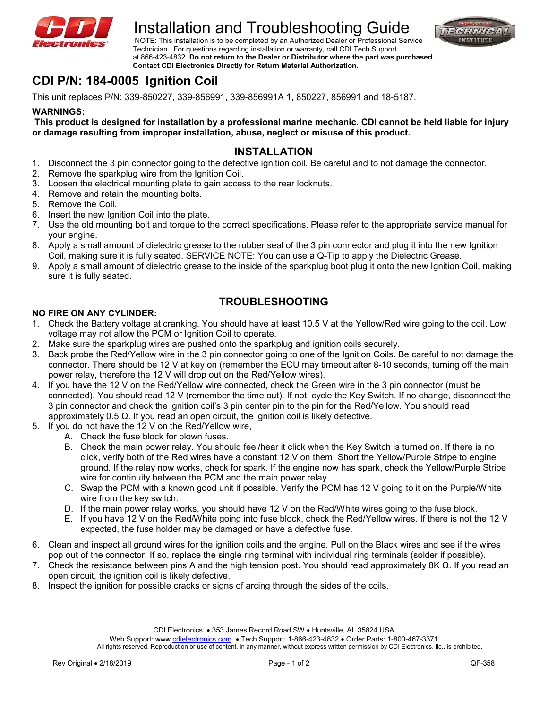

# Installation and Troubleshooting Guide<br>NOTE: This installation is to be completed by an Authorized Dealer or Professional Service



 Technician. For questions regarding installation or warranty, call CDI Tech Support at 866-423-4832. **Do not return to the Dealer or Distributor where the part was purchased. Contact CDI Electronics Directly for Return Material Authorization**.

# **CDI P/N: 184-0005 Ignition Coil**

This unit replaces P/N: 339-850227, 339-856991, 339-856991A 1, 850227, 856991 and 18-5187.

#### **WARNINGS:**

**This product is designed for installation by a professional marine mechanic. CDI cannot be held liable for injury or damage resulting from improper installation, abuse, neglect or misuse of this product.** 

## **INSTALLATION**

- 1. Disconnect the 3 pin connector going to the defective ignition coil. Be careful and to not damage the connector.
- 2. Remove the sparkplug wire from the Ignition Coil.
- 3. Loosen the electrical mounting plate to gain access to the rear locknuts.
- 4. Remove and retain the mounting bolts.
- 5. Remove the Coil.
- 6. Insert the new Ignition Coil into the plate.
- 7. Use the old mounting bolt and torque to the correct specifications. Please refer to the appropriate service manual for your engine.
- 8. Apply a small amount of dielectric grease to the rubber seal of the 3 pin connector and plug it into the new Ignition Coil, making sure it is fully seated. SERVICE NOTE: You can use a Q-Tip to apply the Dielectric Grease.
- 9. Apply a small amount of dielectric grease to the inside of the sparkplug boot plug it onto the new Ignition Coil, making sure it is fully seated.

# **TROUBLESHOOTING**

#### **NO FIRE ON ANY CYLINDER:**

- 1. Check the Battery voltage at cranking. You should have at least 10.5 V at the Yellow/Red wire going to the coil. Low voltage may not allow the PCM or Ignition Coil to operate.
- 2. Make sure the sparkplug wires are pushed onto the sparkplug and ignition coils securely.
- 3. Back probe the Red/Yellow wire in the 3 pin connector going to one of the Ignition Coils. Be careful to not damage the connector. There should be 12 V at key on (remember the ECU may timeout after 8-10 seconds, turning off the main power relay, therefore the 12 V will drop out on the Red/Yellow wires).
- 4. If you have the 12 V on the Red/Yellow wire connected, check the Green wire in the 3 pin connector (must be connected). You should read 12 V (remember the time out). If not, cycle the Key Switch. If no change, disconnect the 3 pin connector and check the ignition coil's 3 pin center pin to the pin for the Red/Yellow. You should read approximately 0.5 Ω. If you read an open circuit, the ignition coil is likely defective.
- 5. If you do not have the 12 V on the Red/Yellow wire,
	- A. Check the fuse block for blown fuses.
		- B. Check the main power relay. You should feel/hear it click when the Key Switch is turned on. If there is no click, verify both of the Red wires have a constant 12 V on them. Short the Yellow/Purple Stripe to engine ground. If the relay now works, check for spark. If the engine now has spark, check the Yellow/Purple Stripe wire for continuity between the PCM and the main power relay.
		- C. Swap the PCM with a known good unit if possible. Verify the PCM has 12 V going to it on the Purple/White wire from the key switch.
		- D. If the main power relay works, you should have 12 V on the Red/White wires going to the fuse block.
		- E. If you have 12 V on the Red/White going into fuse block, check the Red/Yellow wires. If there is not the 12 V expected, the fuse holder may be damaged or have a defective fuse.
- 6. Clean and inspect all ground wires for the ignition coils and the engine. Pull on the Black wires and see if the wires pop out of the connector. If so, replace the single ring terminal with individual ring terminals (solder if possible).
- 7. Check the resistance between pins A and the high tension post. You should read approximately 8K Ω. If you read an open circuit, the ignition coil is likely defective.
- 8. Inspect the ignition for possible cracks or signs of arcing through the sides of the coils.